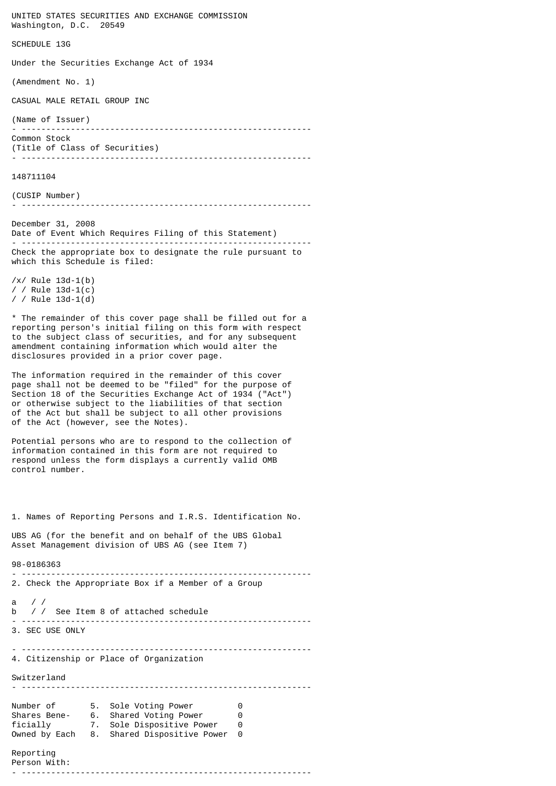UNITED STATES SECURITIES AND EXCHANGE COMMISSION Washington, D.C. 20549

SCHEDULE 13G

Under the Securities Exchange Act of 1934

(Amendment No. 1)

CASUAL MALE RETAIL GROUP INC

(Name of Issuer) - ----------------------------------------------------------- Common Stock (Title of Class of Securities) - -----------------------------------------------------------

148711104

(CUSIP Number)

- -----------------------------------------------------------

December 31, 2008 Date of Event Which Requires Filing of this Statement) - ----------------------------------------------------------- Check the appropriate box to designate the rule pursuant to which this Schedule is filed:

/x/ Rule 13d-1(b) / / Rule 13d-1(c) / / Rule  $13d-1(d)$ 

\* The remainder of this cover page shall be filled out for a reporting person's initial filing on this form with respect to the subject class of securities, and for any subsequent amendment containing information which would alter the disclosures provided in a prior cover page.

The information required in the remainder of this cover page shall not be deemed to be "filed" for the purpose of Section 18 of the Securities Exchange Act of 1934 ("Act") or otherwise subject to the liabilities of that section of the Act but shall be subject to all other provisions of the Act (however, see the Notes).

Potential persons who are to respond to the collection of information contained in this form are not required to respond unless the form displays a currently valid OMB control number.

1. Names of Reporting Persons and I.R.S. Identification No.

- -----------------------------------------------------------

UBS AG (for the benefit and on behalf of the UBS Global Asset Management division of UBS AG (see Item 7)

## 98-0186363

2. Check the Appropriate Box if a Member of a Group a / / b / / See Item 8 of attached schedule - ----------------------------------------------------------- 3. SEC USE ONLY - ----------------------------------------------------------- 4. Citizenship or Place of Organization Switzerland - ----------------------------------------------------------- Number of 5. Sole Voting Power 0 Shares Bene- 6. Shared Voting Power 0 ficially 7. Sole Dispositive Power 0 Owned by Each 8. Shared Dispositive Power 0 Reporting Person With: - -----------------------------------------------------------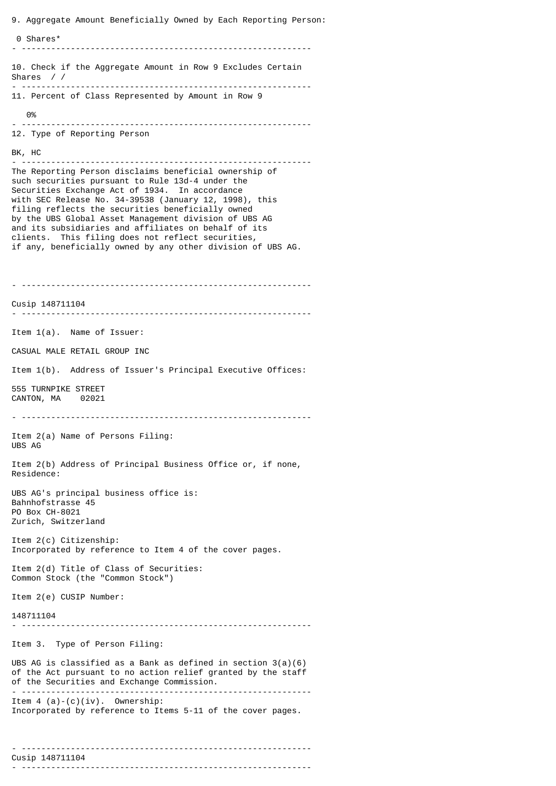9. Aggregate Amount Beneficially Owned by Each Reporting Person: 0 Shares\* - ----------------------------------------------------------- 10. Check if the Aggregate Amount in Row 9 Excludes Certain Shares / / - ----------------------------------------------------------- 11. Percent of Class Represented by Amount in Row 9 0% - ----------------------------------------------------------- 12. Type of Reporting Person BK, HC - ----------------------------------------------------------- The Reporting Person disclaims beneficial ownership of such securities pursuant to Rule 13d-4 under the Securities Exchange Act of 1934. In accordance with SEC Release No. 34-39538 (January 12, 1998), this filing reflects the securities beneficially owned by the UBS Global Asset Management division of UBS AG and its subsidiaries and affiliates on behalf of its clients. This filing does not reflect securities, if any, beneficially owned by any other division of UBS AG. - ----------------------------------------------------------- Cusip 148711104 - ----------------------------------------------------------- Item 1(a). Name of Issuer: CASUAL MALE RETAIL GROUP INC Item 1(b). Address of Issuer's Principal Executive Offices: 555 TURNPIKE STREET CANTON, MA 02021 - ----------------------------------------------------------- Item 2(a) Name of Persons Filing: UBS AG Item 2(b) Address of Principal Business Office or, if none, Residence: UBS AG's principal business office is: Bahnhofstrasse 45 PO Box CH-8021 Zurich, Switzerland Item 2(c) Citizenship: Incorporated by reference to Item 4 of the cover pages. Item 2(d) Title of Class of Securities: Common Stock (the "Common Stock") Item 2(e) CUSIP Number: 148711104 - ----------------------------------------------------------- Item 3. Type of Person Filing: UBS AG is classified as a Bank as defined in section 3(a)(6) of the Act pursuant to no action relief granted by the staff of the Securities and Exchange Commission. - ----------------------------------------------------------- Item  $4$  (a)-(c)(iv). Ownership: Incorporated by reference to Items 5-11 of the cover pages.

- -----------------------------------------------------------

- -----------------------------------------------------------

Cusip 148711104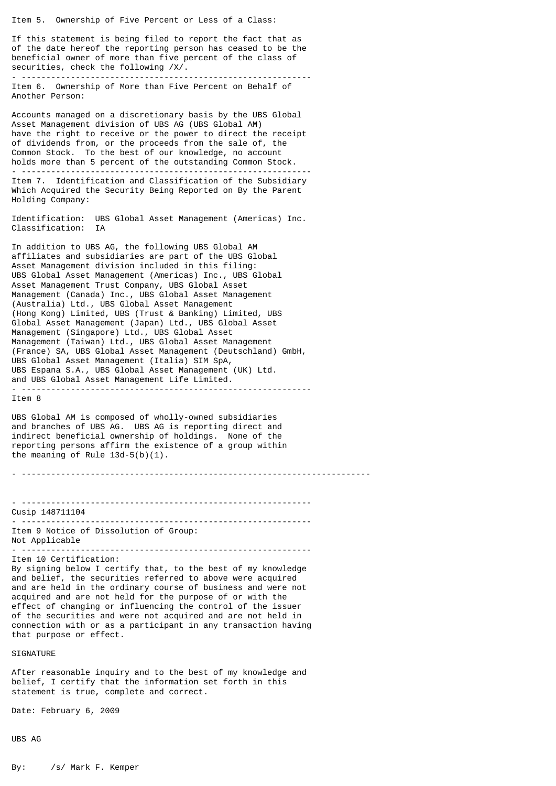Item 5. Ownership of Five Percent or Less of a Class:

If this statement is being filed to report the fact that as of the date hereof the reporting person has ceased to be the beneficial owner of more than five percent of the class of securities, check the following /X/. - -----------------------------------------------------------

Item 6. Ownership of More than Five Percent on Behalf of Another Person:

Accounts managed on a discretionary basis by the UBS Global Asset Management division of UBS AG (UBS Global AM) have the right to receive or the power to direct the receipt of dividends from, or the proceeds from the sale of, the Common Stock. To the best of our knowledge, no account holds more than 5 percent of the outstanding Common Stock. - ----------------------------------------------------------- Item 7. Identification and Classification of the Subsidiary Which Acquired the Security Being Reported on By the Parent

Identification: UBS Global Asset Management (Americas) Inc. Classification: IA

In addition to UBS AG, the following UBS Global AM affiliates and subsidiaries are part of the UBS Global Asset Management division included in this filing: UBS Global Asset Management (Americas) Inc., UBS Global Asset Management Trust Company, UBS Global Asset Management (Canada) Inc., UBS Global Asset Management (Australia) Ltd., UBS Global Asset Management (Hong Kong) Limited, UBS (Trust & Banking) Limited, UBS Global Asset Management (Japan) Ltd., UBS Global Asset Management (Singapore) Ltd., UBS Global Asset Management (Taiwan) Ltd., UBS Global Asset Management (France) SA, UBS Global Asset Management (Deutschland) GmbH, UBS Global Asset Management (Italia) SIM SpA, UBS Espana S.A., UBS Global Asset Management (UK) Ltd. and UBS Global Asset Management Life Limited. - -----------------------------------------------------------

Item 8

Holding Company:

UBS Global AM is composed of wholly-owned subsidiaries and branches of UBS AG. UBS AG is reporting direct and indirect beneficial ownership of holdings. None of the reporting persons affirm the existence of a group within the meaning of Rule  $13d-5(b)(1)$ .

- -----------------------------------------------------------------------

- ----------------------------------------------------------- Cusip 148711104 - -----------------------------------------------------------

Item 9 Notice of Dissolution of Group: Not Applicable - -----------------------------------------------------------

Item 10 Certification:

By signing below I certify that, to the best of my knowledge and belief, the securities referred to above were acquired and are held in the ordinary course of business and were not acquired and are not held for the purpose of or with the effect of changing or influencing the control of the issuer of the securities and were not acquired and are not held in connection with or as a participant in any transaction having that purpose or effect.

SIGNATURE

After reasonable inquiry and to the best of my knowledge and belief, I certify that the information set forth in this statement is true, complete and correct.

Date: February 6, 2009

UBS AG